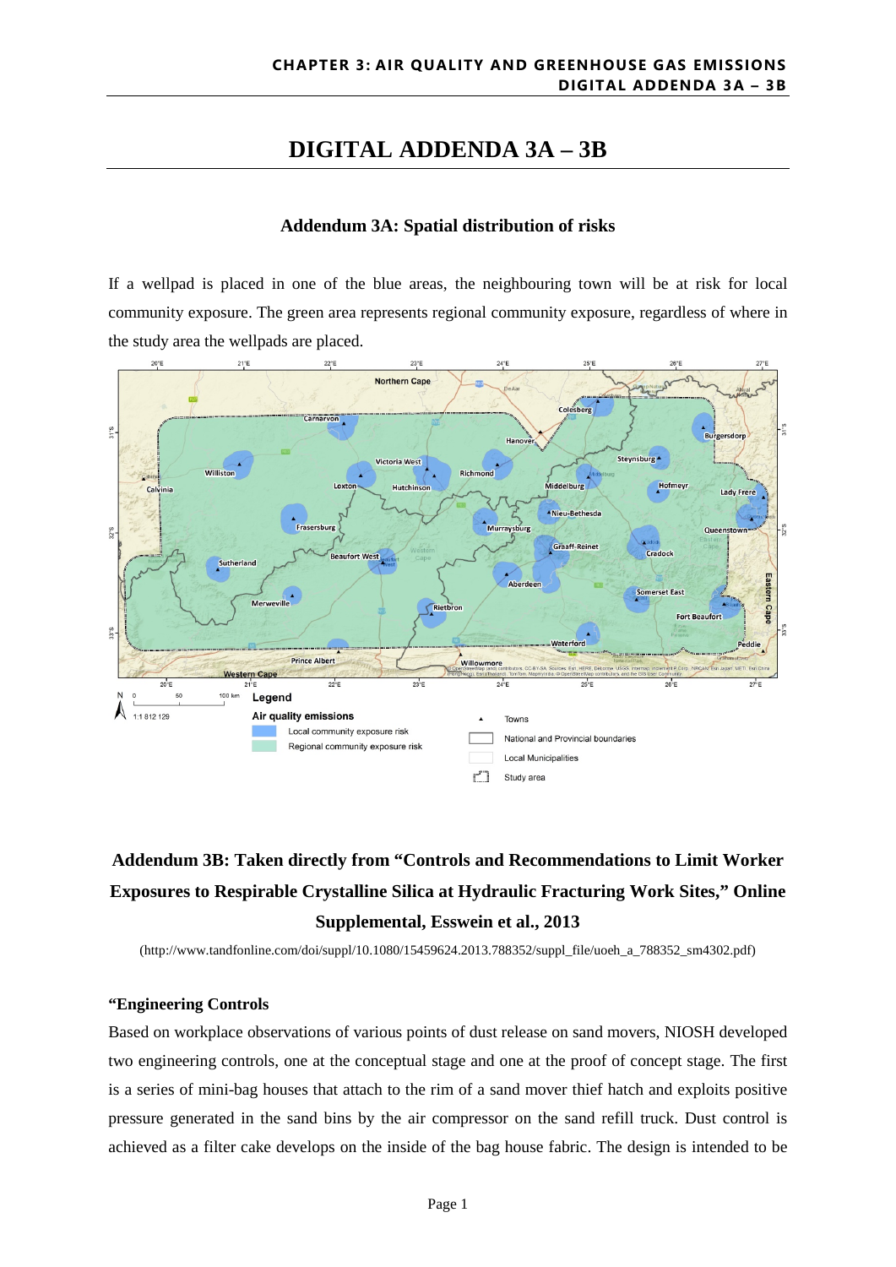## **DIGITAL ADDENDA 3A – 3B**

### **Addendum 3A: Spatial distribution of risks**

If a wellpad is placed in one of the blue areas, the neighbouring town will be at risk for local community exposure. The green area represents regional community exposure, regardless of where in the study area the wellpads are placed.



# **Addendum 3B: Taken directly from "Controls and Recommendations to Limit Worker Exposures to Respirable Crystalline Silica at Hydraulic Fracturing Work Sites," Online Supplemental, Esswein et al., 2013**

(http://www.tandfonline.com/doi/suppl/10.1080/15459624.2013.788352/suppl\_file/uoeh\_a\_788352\_sm4302.pdf)

#### **"Engineering Controls**

Based on workplace observations of various points of dust release on sand movers, NIOSH developed two engineering controls, one at the conceptual stage and one at the proof of concept stage. The first is a series of mini-bag houses that attach to the rim of a sand mover thief hatch and exploits positive pressure generated in the sand bins by the air compressor on the sand refill truck. Dust control is achieved as a filter cake develops on the inside of the bag house fabric. The design is intended to be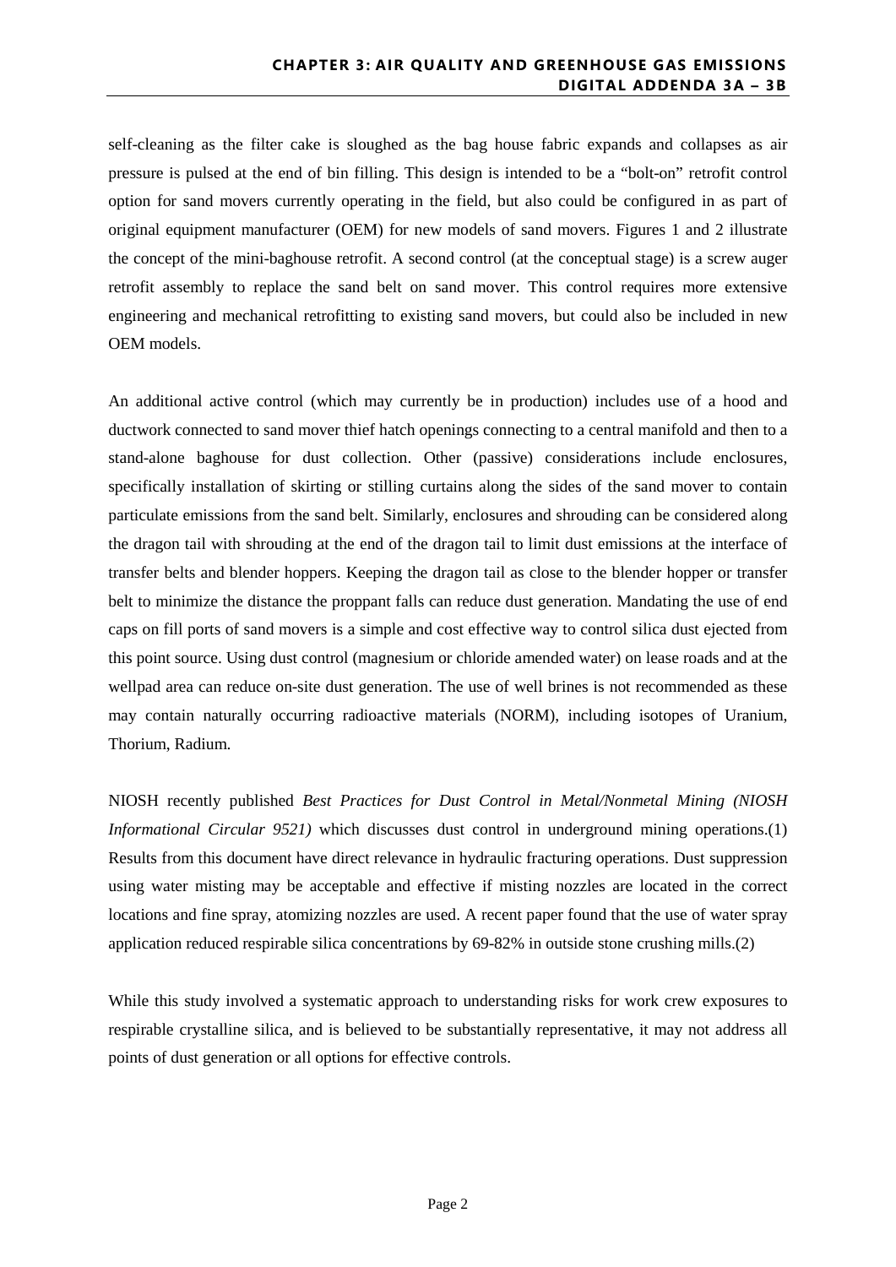self-cleaning as the filter cake is sloughed as the bag house fabric expands and collapses as air pressure is pulsed at the end of bin filling. This design is intended to be a "bolt-on" retrofit control option for sand movers currently operating in the field, but also could be configured in as part of original equipment manufacturer (OEM) for new models of sand movers. Figures 1 and 2 illustrate the concept of the mini-baghouse retrofit. A second control (at the conceptual stage) is a screw auger retrofit assembly to replace the sand belt on sand mover. This control requires more extensive engineering and mechanical retrofitting to existing sand movers, but could also be included in new OEM models.

An additional active control (which may currently be in production) includes use of a hood and ductwork connected to sand mover thief hatch openings connecting to a central manifold and then to a stand-alone baghouse for dust collection. Other (passive) considerations include enclosures, specifically installation of skirting or stilling curtains along the sides of the sand mover to contain particulate emissions from the sand belt. Similarly, enclosures and shrouding can be considered along the dragon tail with shrouding at the end of the dragon tail to limit dust emissions at the interface of transfer belts and blender hoppers. Keeping the dragon tail as close to the blender hopper or transfer belt to minimize the distance the proppant falls can reduce dust generation. Mandating the use of end caps on fill ports of sand movers is a simple and cost effective way to control silica dust ejected from this point source. Using dust control (magnesium or chloride amended water) on lease roads and at the wellpad area can reduce on-site dust generation. The use of well brines is not recommended as these may contain naturally occurring radioactive materials (NORM), including isotopes of Uranium, Thorium, Radium.

NIOSH recently published *Best Practices for Dust Control in Metal/Nonmetal Mining (NIOSH Informational Circular 9521)* which discusses dust control in underground mining operations.(1) Results from this document have direct relevance in hydraulic fracturing operations. Dust suppression using water misting may be acceptable and effective if misting nozzles are located in the correct locations and fine spray, atomizing nozzles are used. A recent paper found that the use of water spray application reduced respirable silica concentrations by 69-82% in outside stone crushing mills.(2)

While this study involved a systematic approach to understanding risks for work crew exposures to respirable crystalline silica, and is believed to be substantially representative, it may not address all points of dust generation or all options for effective controls.